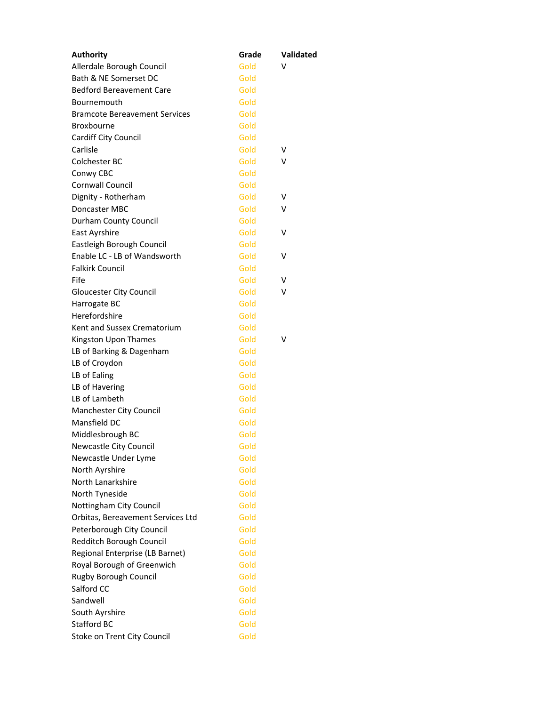| <b>Authority</b>                     | Grade | Validated |
|--------------------------------------|-------|-----------|
| Allerdale Borough Council            | Gold  | v         |
| Bath & NE Somerset DC                | Gold  |           |
| <b>Bedford Bereavement Care</b>      | Gold  |           |
| Bournemouth                          | Gold  |           |
| <b>Bramcote Bereavement Services</b> | Gold  |           |
| Broxbourne                           | Gold  |           |
| Cardiff City Council                 | Gold  |           |
| Carlisle                             | Gold  | v         |
| Colchester BC                        | Gold  | v         |
| Conwy CBC                            | Gold  |           |
| <b>Cornwall Council</b>              | Gold  |           |
| Dignity - Rotherham                  | Gold  | V         |
| Doncaster MBC                        | Gold  | v         |
| Durham County Council                | Gold  |           |
| East Ayrshire                        | Gold  | v         |
| Eastleigh Borough Council            | Gold  |           |
| Enable LC - LB of Wandsworth         | Gold  | v         |
| <b>Falkirk Council</b>               | Gold  |           |
| Fife                                 | Gold  | v         |
| Gloucester City Council              | Gold  | v         |
| Harrogate BC                         | Gold  |           |
| Herefordshire                        | Gold  |           |
| Kent and Sussex Crematorium          | Gold  |           |
| Kingston Upon Thames                 | Gold  | v         |
| LB of Barking & Dagenham             | Gold  |           |
| LB of Croydon                        | Gold  |           |
| LB of Ealing                         | Gold  |           |
| LB of Havering                       | Gold  |           |
| LB of Lambeth                        | Gold  |           |
| Manchester City Council              | Gold  |           |
| Mansfield DC                         | Gold  |           |
| Middlesbrough BC                     | Gold  |           |
| Newcastle City Council               | Gold  |           |
| Newcastle Under Lyme                 | Gold  |           |
| North Ayrshire                       | Gold  |           |
| North Lanarkshire                    | Gold  |           |
| North Tyneside                       | Gold  |           |
| Nottingham City Council              | Gold  |           |
| Orbitas, Bereavement Services Ltd    | Gold  |           |
| Peterborough City Council            | Gold  |           |
| Redditch Borough Council             | Gold  |           |
| Regional Enterprise (LB Barnet)      | Gold  |           |
| Royal Borough of Greenwich           | Gold  |           |
| Rugby Borough Council                | Gold  |           |
| Salford CC                           | Gold  |           |
| Sandwell                             | Gold  |           |
| South Ayrshire                       | Gold  |           |
| Stafford BC                          | Gold  |           |
| Stoke on Trent City Council          | Gold  |           |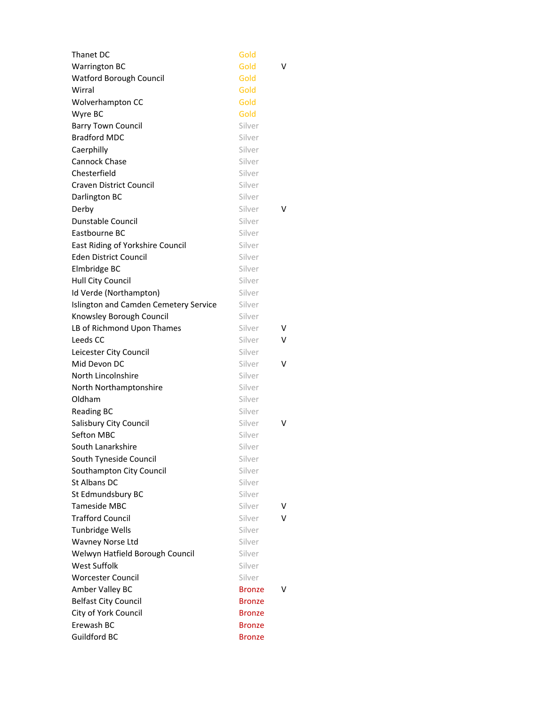| Thanet DC                             | Gold          |   |
|---------------------------------------|---------------|---|
| <b>Warrington BC</b>                  | Gold          | v |
| Watford Borough Council               | Gold          |   |
| Wirral                                | Gold          |   |
| Wolverhampton CC                      | Gold          |   |
| Wyre BC                               | Gold          |   |
| <b>Barry Town Council</b>             | Silver        |   |
| <b>Bradford MDC</b>                   | Silver        |   |
| Caerphilly                            | Silver        |   |
| Cannock Chase                         | Silver        |   |
| Chesterfield                          | Silver        |   |
| <b>Craven District Council</b>        | Silver        |   |
| Darlington BC                         | Silver        |   |
| Derby                                 | Silver        | v |
| Dunstable Council                     | Silver        |   |
| Eastbourne BC                         | Silver        |   |
| East Riding of Yorkshire Council      | Silver        |   |
| <b>Eden District Council</b>          | Silver        |   |
| Elmbridge BC                          | Silver        |   |
| Hull City Council                     | Silver        |   |
| Id Verde (Northampton)                | Silver        |   |
| Islington and Camden Cemetery Service | Silver        |   |
| Knowsley Borough Council              | Silver        |   |
| LB of Richmond Upon Thames            | Silver        | v |
| Leeds CC                              | Silver        | v |
| Leicester City Council                | Silver        |   |
| Mid Devon DC                          | Silver        | v |
| North Lincolnshire                    | Silver        |   |
| North Northamptonshire                | Silver        |   |
| Oldham                                | Silver        |   |
| <b>Reading BC</b>                     | Silver        |   |
| Salisbury City Council                | Silver        | v |
| Sefton MBC                            | Silver        |   |
| South Lanarkshire                     | Silver        |   |
| South Tyneside Council                | Silver        |   |
| Southampton City Council              | Silver        |   |
| St Albans DC                          | Silver        |   |
| St Edmundsbury BC                     | Silver        |   |
| Tameside MBC                          | Silver        | v |
| <b>Trafford Council</b>               | Silver        | v |
| Tunbridge Wells                       | Silver        |   |
| Wavney Norse Ltd                      | Silver        |   |
| Welwyn Hatfield Borough Council       | Silver        |   |
| <b>West Suffolk</b>                   | Silver        |   |
| <b>Worcester Council</b>              | Silver        |   |
| Amber Valley BC                       | <b>Bronze</b> | v |
| <b>Belfast City Council</b>           | Bronze        |   |
| City of York Council                  | Bronze        |   |
| Erewash BC                            | Bronze        |   |
| Guildford BC                          | <b>Bronze</b> |   |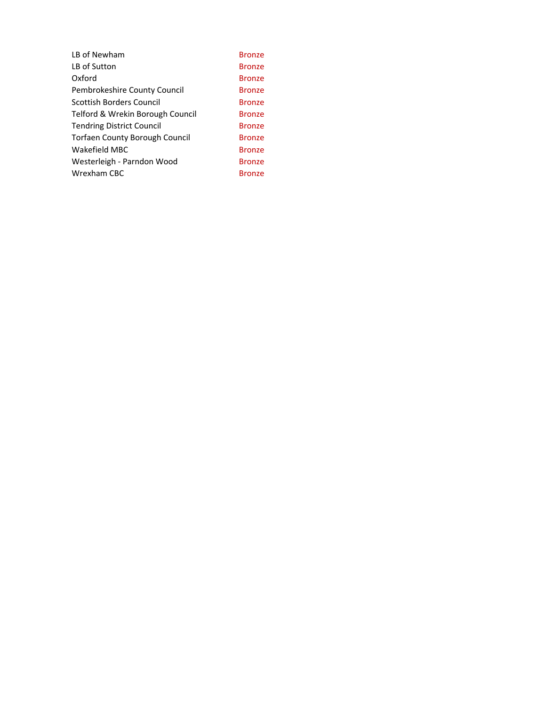| LB of Newham                     | <b>Bronze</b> |
|----------------------------------|---------------|
| LB of Sutton                     | <b>Bronze</b> |
| Oxford                           | <b>Bronze</b> |
| Pembrokeshire County Council     | <b>Bronze</b> |
| Scottish Borders Council         | <b>Bronze</b> |
| Telford & Wrekin Borough Council | <b>Bronze</b> |
| Tendring District Council        | <b>Bronze</b> |
| Torfaen County Borough Council   | <b>Bronze</b> |
| Wakefield MBC                    | <b>Bronze</b> |
| Westerleigh - Parndon Wood       | <b>Bronze</b> |
| Wrexham CBC                      | Bronze        |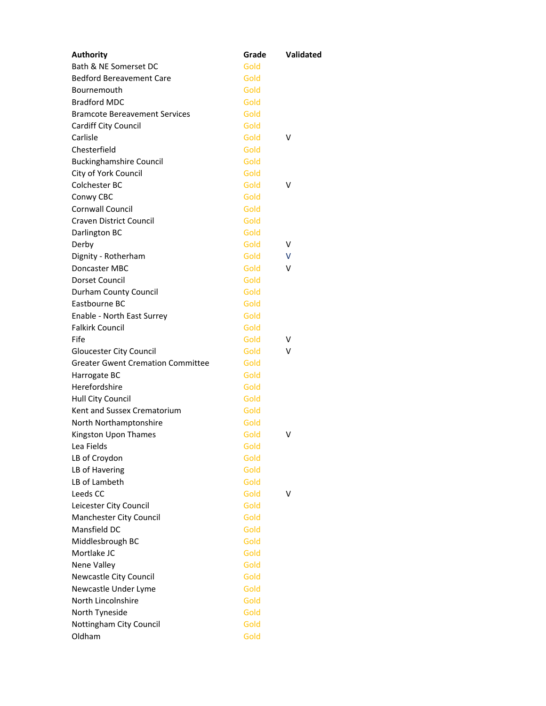| <b>Authority</b>                         | Grade | Validated |
|------------------------------------------|-------|-----------|
| Bath & NE Somerset DC                    | Gold  |           |
| <b>Bedford Bereavement Care</b>          | Gold  |           |
| Bournemouth                              | Gold  |           |
| <b>Bradford MDC</b>                      | Gold  |           |
| <b>Bramcote Bereavement Services</b>     | Gold  |           |
| Cardiff City Council                     | Gold  |           |
| Carlisle                                 | Gold  | v         |
| Chesterfield                             | Gold  |           |
| <b>Buckinghamshire Council</b>           | Gold  |           |
| City of York Council                     | Gold  |           |
| Colchester BC                            | Gold  | v         |
| Conwy CBC                                | Gold  |           |
| <b>Cornwall Council</b>                  | Gold  |           |
| <b>Craven District Council</b>           | Gold  |           |
| Darlington BC                            | Gold  |           |
| Derby                                    | Gold  | v         |
| Dignity - Rotherham                      | Gold  | V         |
| Doncaster MBC                            | Gold  | v         |
| Dorset Council                           | Gold  |           |
| Durham County Council                    | Gold  |           |
| Eastbourne BC                            | Gold  |           |
| Enable - North East Surrey               | Gold  |           |
| <b>Falkirk Council</b>                   | Gold  |           |
| Fife                                     | Gold  | V         |
| <b>Gloucester City Council</b>           | Gold  | v         |
| <b>Greater Gwent Cremation Committee</b> | Gold  |           |
| Harrogate BC                             | Gold  |           |
| Herefordshire                            | Gold  |           |
| Hull City Council                        | Gold  |           |
| Kent and Sussex Crematorium              | Gold  |           |
| North Northamptonshire                   | Gold  |           |
| Kingston Upon Thames                     | Gold  | v         |
| Lea Fields                               | Gold  |           |
| LB of Croydon                            | Gold  |           |
| LB of Havering                           | Gold  |           |
| LB of Lambeth                            | Gold  |           |
| Leeds CC                                 | Gold  | v         |
| Leicester City Council                   | Gold  |           |
| Manchester City Council                  | Gold  |           |
| Mansfield DC                             | Gold  |           |
| Middlesbrough BC                         | Gold  |           |
| Mortlake JC                              | Gold  |           |
| Nene Valley                              | Gold  |           |
| Newcastle City Council                   | Gold  |           |
| Newcastle Under Lyme                     | Gold  |           |
| North Lincolnshire                       | Gold  |           |
| North Tyneside                           | Gold  |           |
| Nottingham City Council                  | Gold  |           |
| Oldham                                   | Gold  |           |
|                                          |       |           |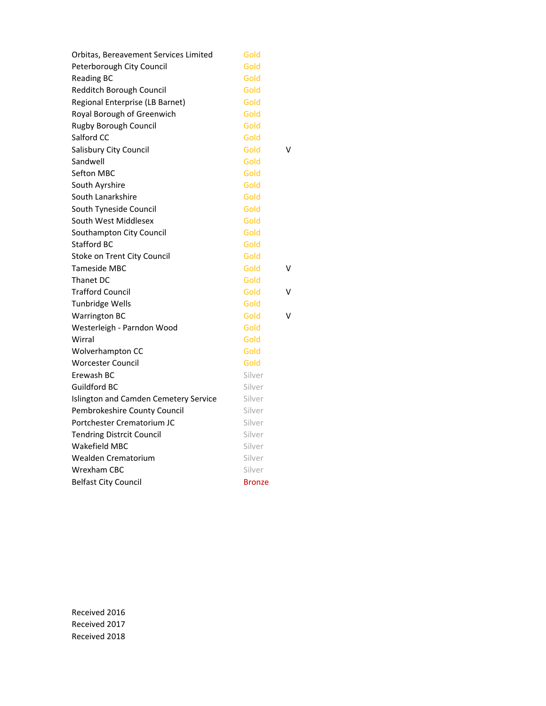| Orbitas, Bereavement Services Limited | Gold          |   |
|---------------------------------------|---------------|---|
| Peterborough City Council             | Gold          |   |
| <b>Reading BC</b>                     | Gold          |   |
| Redditch Borough Council              | Gold          |   |
| Regional Enterprise (LB Barnet)       | Gold          |   |
| Royal Borough of Greenwich            | Gold          |   |
| <b>Rugby Borough Council</b>          | Gold          |   |
| Salford CC                            | Gold          |   |
| Salisbury City Council                | Gold          | V |
| Sandwell                              | Gold          |   |
| Sefton MBC                            | Gold          |   |
| South Ayrshire                        | Gold          |   |
| South Lanarkshire                     | Gold          |   |
| South Tyneside Council                | Gold          |   |
| South West Middlesex                  | Gold          |   |
| Southampton City Council              | Gold          |   |
| <b>Stafford BC</b>                    | Gold          |   |
| Stoke on Trent City Council           | Gold          |   |
| Tameside MBC                          | Gold          | ٧ |
| Thanet DC                             | Gold          |   |
| <b>Trafford Council</b>               | Gold          | ٧ |
| Tunbridge Wells                       | Gold          |   |
| <b>Warrington BC</b>                  | Gold          | ٧ |
| Westerleigh - Parndon Wood            | Gold          |   |
| Wirral                                | Gold          |   |
| Wolverhampton CC                      | Gold          |   |
| <b>Worcester Council</b>              | Gold          |   |
| Erewash BC                            | Silver        |   |
| Guildford BC                          | Silver        |   |
| Islington and Camden Cemetery Service | Silver        |   |
| Pembrokeshire County Council          | Silver        |   |
| Portchester Crematorium JC            | Silver        |   |
| <b>Tendring Distrcit Council</b>      | Silver        |   |
| Wakefield MBC                         | Silver        |   |
| Wealden Crematorium                   | Silver        |   |
| <b>Wrexham CBC</b>                    | Silver        |   |
| <b>Belfast City Council</b>           | <b>Bronze</b> |   |

Received 2016 Received 2017 Received 2018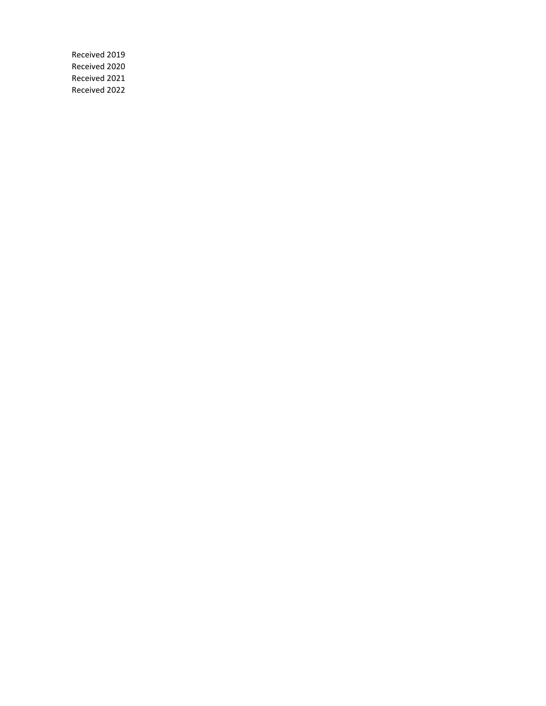Received 2019 Received 2020 Received 2021 Received 2022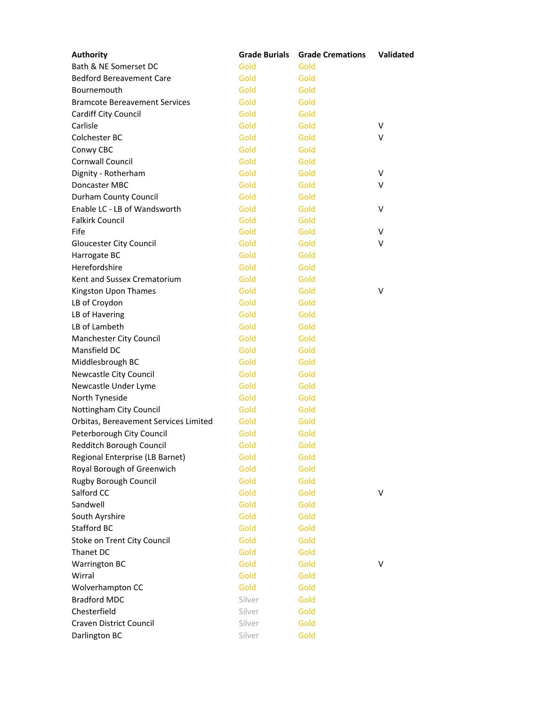| <b>Authority</b>                      | <b>Grade Burials</b> | <b>Grade Cremations</b> | Validated |
|---------------------------------------|----------------------|-------------------------|-----------|
| Bath & NE Somerset DC                 | Gold                 | Gold                    |           |
| <b>Bedford Bereavement Care</b>       | Gold                 | Gold                    |           |
| Bournemouth                           | Gold                 | Gold                    |           |
| <b>Bramcote Bereavement Services</b>  | Gold                 | Gold                    |           |
| Cardiff City Council                  | Gold                 | Gold                    |           |
| Carlisle                              | Gold                 | Gold                    | $\vee$    |
| Colchester BC                         | Gold                 | Gold                    | v         |
| Conwy CBC                             | Gold                 | Gold                    |           |
| Cornwall Council                      | Gold                 | Gold                    |           |
| Dignity - Rotherham                   | Gold                 | Gold                    | v         |
| Doncaster MBC                         | Gold                 | Gold                    | v         |
| Durham County Council                 | Gold                 | Gold                    |           |
| Enable LC - LB of Wandsworth          | Gold                 | Gold                    | v         |
| <b>Falkirk Council</b>                | Gold                 | Gold                    |           |
| Fife                                  | Gold                 | Gold                    | v         |
| Gloucester City Council               | Gold                 | Gold                    | v         |
| Harrogate BC                          | Gold                 | Gold                    |           |
| Herefordshire                         | Gold                 | Gold                    |           |
| Kent and Sussex Crematorium           | Gold                 | Gold                    |           |
| Kingston Upon Thames                  | Gold                 | Gold                    | v         |
| LB of Croydon                         | Gold                 | Gold                    |           |
| LB of Havering                        | Gold                 | Gold                    |           |
| LB of Lambeth                         | Gold                 | Gold                    |           |
| Manchester City Council               | Gold                 | Gold                    |           |
| Mansfield DC                          | Gold                 | Gold                    |           |
| Middlesbrough BC                      | Gold                 | Gold                    |           |
| Newcastle City Council                | Gold                 | Gold                    |           |
| Newcastle Under Lyme                  | Gold                 | Gold                    |           |
| North Tyneside                        | Gold                 | Gold                    |           |
| Nottingham City Council               | Gold                 | Gold                    |           |
| Orbitas, Bereavement Services Limited | Gold                 | Gold                    |           |
| Peterborough City Council             | Gold                 | Gold                    |           |
| Redditch Borough Council              | Gold                 | Gold                    |           |
| Regional Enterprise (LB Barnet)       | Gold                 | Gold                    |           |
| Royal Borough of Greenwich            | Gold                 | Gold                    |           |
| Rugby Borough Council                 | Gold                 | Gold                    |           |
| Salford CC                            | Gold                 | Gold                    | v         |
| Sandwell                              | Gold                 | Gold                    |           |
| South Ayrshire                        | Gold                 | Gold                    |           |
| <b>Stafford BC</b>                    | Gold                 | Gold                    |           |
| Stoke on Trent City Council           | Gold                 | Gold                    |           |
| Thanet DC                             | Gold                 | Gold                    |           |
| <b>Warrington BC</b>                  | Gold                 | Gold                    | V         |
| Wirral                                | Gold                 | Gold                    |           |
| Wolverhampton CC                      | Gold                 | Gold                    |           |
| <b>Bradford MDC</b>                   | Silver               | Gold                    |           |
| Chesterfield                          | Silver               | Gold                    |           |
| Craven District Council               | Silver               | Gold                    |           |
| Darlington BC                         | Silver               | Gold                    |           |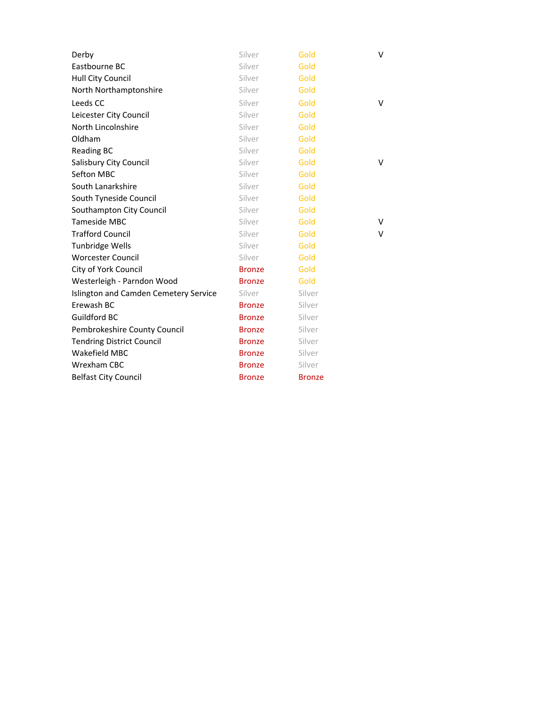| Derby                                 | Silver        | Gold          | v |
|---------------------------------------|---------------|---------------|---|
| Eastbourne BC                         | Silver        | Gold          |   |
| Hull City Council                     | Silver        | Gold          |   |
| North Northamptonshire                | Silver        | Gold          |   |
| Leeds CC                              | Silver        | Gold          | v |
| Leicester City Council                | Silver        | Gold          |   |
| North Lincolnshire                    | Silver        | Gold          |   |
| Oldham                                | Silver        | Gold          |   |
| <b>Reading BC</b>                     | Silver        | Gold          |   |
| Salisbury City Council                | Silver        | Gold          | V |
| Sefton MBC                            | Silver        | Gold          |   |
| South Lanarkshire                     | Silver        | Gold          |   |
| South Tyneside Council                | Silver        | Gold          |   |
| Southampton City Council              | Silver        | Gold          |   |
| Tameside MBC                          | Silver        | Gold          | V |
| <b>Trafford Council</b>               | Silver        | Gold          | v |
| <b>Tunbridge Wells</b>                | Silver        | Gold          |   |
| <b>Worcester Council</b>              | Silver        | Gold          |   |
| City of York Council                  | <b>Bronze</b> | Gold          |   |
| Westerleigh - Parndon Wood            | <b>Bronze</b> | Gold          |   |
| Islington and Camden Cemetery Service | Silver        | Silver        |   |
| Erewash BC                            | <b>Bronze</b> | Silver        |   |
| Guildford BC                          | <b>Bronze</b> | Silver        |   |
| Pembrokeshire County Council          | <b>Bronze</b> | Silver        |   |
| <b>Tendring District Council</b>      | <b>Bronze</b> | Silver        |   |
| Wakefield MBC                         | <b>Bronze</b> | Silver        |   |
| Wrexham CBC                           | <b>Bronze</b> | Silver        |   |
| <b>Belfast City Council</b>           | <b>Bronze</b> | <b>Bronze</b> |   |